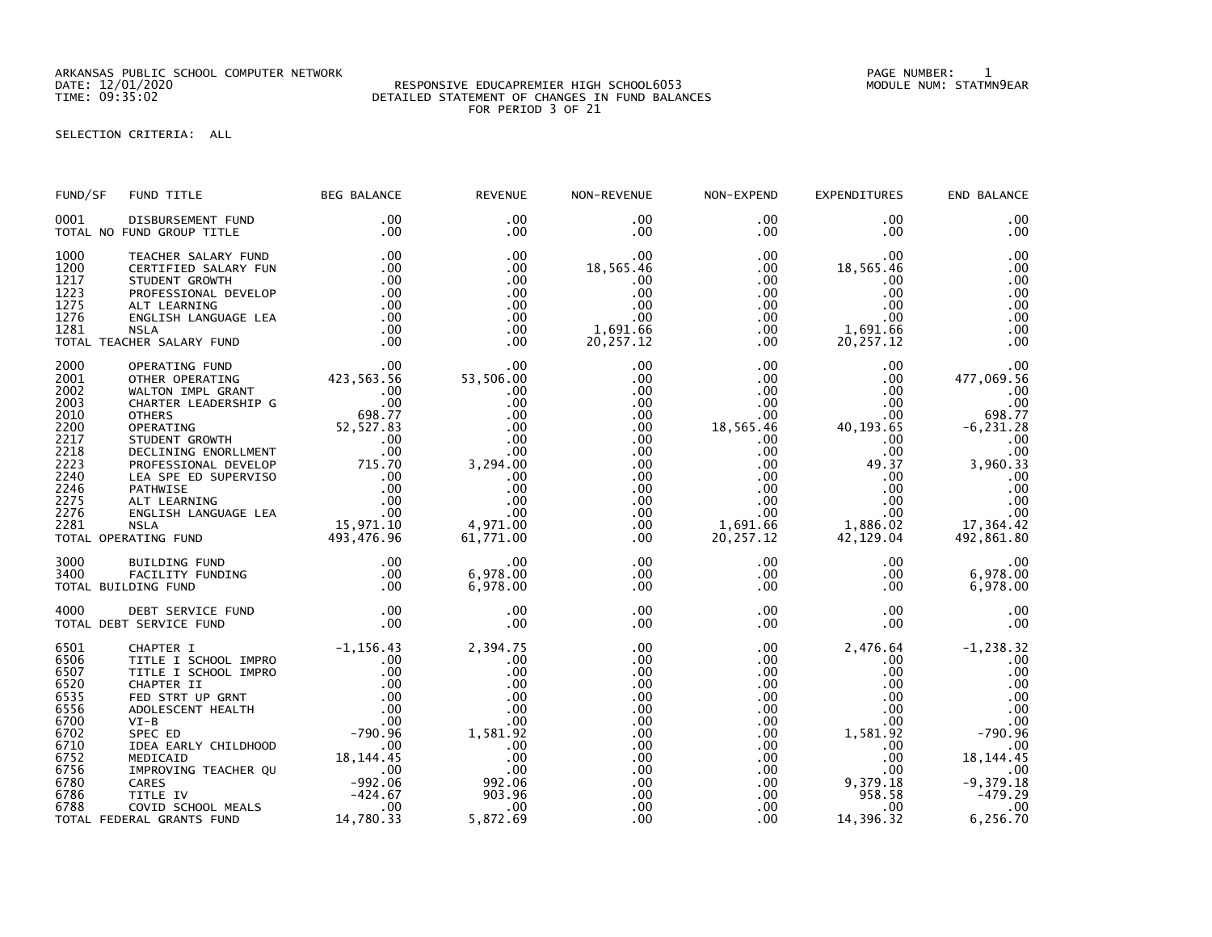ARKANSAS PUBLIC SCHOOL COMPUTER NETWORK PAGE NUMBER: 1

## DATE: 12/01/2020 RESPONSIVE EDUCAPREMIER HIGH SCHOOL6053 MODULE NUM: STATMN9EAR TIME: 09:35:02 DETAILED STATEMENT OF CHANGES IN FUND BALANCES FOR PERIOD 3 OF 21

SELECTION CRITERIA: ALL

| FUND/SF                                                                                                      | FUND TITLE                                                                                                                                                                                                                                                                                                                                                                                                                                                                              | <b>BEG BALANCE</b>                                                                                                                                                                                                                                                                                                                              | <b>REVENUE</b>                                                                                                                     | NON-REVENUE                                                                                                               | NON-EXPEND                                                                                                                                                         | EXPENDITURES                                                                                                                                                             | END BALANCE                                                                                                                                                         |
|--------------------------------------------------------------------------------------------------------------|-----------------------------------------------------------------------------------------------------------------------------------------------------------------------------------------------------------------------------------------------------------------------------------------------------------------------------------------------------------------------------------------------------------------------------------------------------------------------------------------|-------------------------------------------------------------------------------------------------------------------------------------------------------------------------------------------------------------------------------------------------------------------------------------------------------------------------------------------------|------------------------------------------------------------------------------------------------------------------------------------|---------------------------------------------------------------------------------------------------------------------------|--------------------------------------------------------------------------------------------------------------------------------------------------------------------|--------------------------------------------------------------------------------------------------------------------------------------------------------------------------|---------------------------------------------------------------------------------------------------------------------------------------------------------------------|
| 0001                                                                                                         | DISBURSEMENT FUND<br>TOTAL NO FUND GROUP TITLE                                                                                                                                                                                                                                                                                                                                                                                                                                          | $.00 \,$<br>.00                                                                                                                                                                                                                                                                                                                                 | $.00 \times$<br>.00.                                                                                                               | .00<br>.00                                                                                                                | $.00 \,$<br>$.00 \,$                                                                                                                                               | $.00 \times$<br>$.00 \,$                                                                                                                                                 | .00<br>.00                                                                                                                                                          |
| 1000<br>1200<br>1217<br>1223<br>1275<br>1276<br>1281                                                         | TEACHER SALARY FUND<br>CERTIFIED SALARY FUN<br>STUDENT GROWTH<br>PROFESSIONAL DEVELOP<br>ALT LEARNING<br>ENGLISH LANGUAGE LEA<br><b>NSLA</b><br>TOTAL TEACHER SALARY FUND                                                                                                                                                                                                                                                                                                               | .00<br>.00<br>$\begin{array}{c} .00 \\ .00 \\ .00 \\ .00 \\ .00 \end{array}$<br>.00<br>$\overline{00}$                                                                                                                                                                                                                                          | $.00 \times$<br>.00<br>.00<br>.00<br>.00<br>.00<br>.00<br>.00                                                                      | .00<br>18,565.46<br>.00<br>.00<br>.00<br>.00<br>1,691.66<br>20,257.12                                                     | $.00 \,$<br>$.00 \,$<br>$.00 \,$<br>$.00 \,$<br>.00<br>$.00\,$<br>$.00\,$<br>$.00 \,$                                                                              | .00<br>18,565.46<br>.00<br>.00<br>.00<br>.00<br>1,691.66<br>20, 257.12                                                                                                   | .00<br>.00<br>.00<br>.00<br>.00<br>.00<br>.00<br>.00                                                                                                                |
| 2000<br>2001<br>2002<br>2003<br>2010<br>2200<br>2217<br>2218<br>2223<br>2240<br>2246<br>2275<br>2276<br>2281 | THER SALARY FUND<br>OPERATING FUND<br>OTHER OPERATING 423,563.56<br>WALTON IMPL GRANT .00<br>CHARTER LEADERSHIP G .00<br>OTHERS .00<br>OTHERS .00<br>OTHERS .00<br>OTHERS .00<br>OTHERS .00<br>CORP .00<br>OTHERS<br>OPERATING 52,527.83<br>STUDENT GROWTH 00<br>DECLINING ENORLLMENT 00<br>PROFESSIONAL DEVELOP 715.70<br>LEA SPE ED SUPERVISO 00<br>PATHWISE DIPERVISO 00<br>PATHWISE 100<br>ALT LEARNING 00<br>ENGLISH LANGUAGE LEA 00<br>NSLA 15,971.10<br><br>TOTAL OPERATING FUND |                                                                                                                                                                                                                                                                                                                                                 | 00.<br>53,506.00<br>.00<br>.00<br>.00<br>.00<br>.00<br>.00<br>3,294.00<br>.00<br>.00<br>.00<br>00.<br>00.<br>4,971.00<br>61,771.00 | .00<br>.00<br>.00<br>.00<br>.00<br>$.00 \,$<br>.00<br>.00<br>.00<br>$.00 \,$<br>.00<br>$.00 \,$<br>.00<br>.00<br>$.00 \,$ | $.00 \,$<br>$.00\,$<br>.00<br>$.00\,$<br>.00<br>18,565.46<br>$.00 \,$<br>$.00\,$<br>$.00\,$<br>$.00\,$<br>$.00 \,$<br>$.00\,$<br>$.00\,$<br>1,691.66<br>20, 257.12 | .00<br>.00<br>.00<br>$0.00$<br>.00<br>.00<br>.40, 193 .65<br>.00<br>.00<br>49.37<br>$.00 \cdot$<br>$.00\,$<br>$.00 \,$<br>$.00 \,$<br>1,886.02<br>42,129.04              | .00<br>477,069.56<br>.00<br>.00<br>698.77<br>$-6, 231.28$<br>.00<br>.00<br>3,960.33<br>.00<br>.00<br>.00<br>$\overline{\phantom{0}}$ .00<br>17,364.42<br>492,861.80 |
| 3000<br>3400                                                                                                 | BUILDING FUND<br>FACILITY FUNDING<br>TOTAL BUILDING FUND                                                                                                                                                                                                                                                                                                                                                                                                                                | .00<br>00 .<br>00 .<br>00 .                                                                                                                                                                                                                                                                                                                     | .00<br>6,978.00<br>6,978.00                                                                                                        | $.00 \,$<br>$.00 \,$<br>$.00 \,$                                                                                          | $.00 \,$<br>$.00 \,$<br>$.00 \,$                                                                                                                                   | $.00 \,$<br>$.00 \,$<br>$.00 \,$                                                                                                                                         | .00<br>6,978.00<br>6,978.00                                                                                                                                         |
| 4000                                                                                                         | DEBT SERVICE FUND<br>TOTAL DEBT SERVICE FUND                                                                                                                                                                                                                                                                                                                                                                                                                                            | $\frac{.00}{.00}$                                                                                                                                                                                                                                                                                                                               | .00<br>.00                                                                                                                         | .00<br>.00                                                                                                                | $.00 \,$<br>$.00 \,$                                                                                                                                               | $.00 \,$<br>.00 <sub>1</sub>                                                                                                                                             | .00<br>.00                                                                                                                                                          |
| 6501<br>6506<br>6507<br>6520<br>6535<br>6556<br>6700<br>6702<br>6710<br>6752<br>6756<br>6780<br>6786<br>6788 | CHAPTER I<br>TITLE I SCHOOL IMPRO<br>TITLE I SCHOOL IMPRO<br>CHAPTER II<br>FED STRT UP GRNT<br>ADOLESCENT HEALTH<br>$VI-B$<br>SPEC ED<br>IDEA EARLY CHILDHOOD<br>MEDICAID<br>IMPROVING TEACHER QU<br>CARES<br>TITLE IV<br>COVID SCHOOL MEALS<br>TOTAL FEDERAL GRANTS FUND                                                                                                                                                                                                               | $\begin{array}{cccc} 1.36 & .30 \\ -1.156 & .43 \\ 0.00 & .00 \\ 0.00 & .00 \\ 0.00 & .00 \\ 0.00 & .00 \\ 0.00 & .00 \\ 0.00 & .00 \\ 0.00 & .00 \\ 0.00 & .00 \\ 0.00 & .00 \\ 0.00 & .00 \\ 0.00 & .00 \\ 0.00 & .00 \\ -992 & .06 \\ -424 & .67 \\ 0.00 & .00 \\ 0.00 & .00 \\ 0.00 & .00 \\ -424 & .67 \\ 0.03 & .03 \\ 0.03$<br>14,780.33 | 2,394.75<br>.00<br>.00<br>.00<br>.00<br>.00<br>.00<br>1,581.92<br>00.00<br>.00<br>992.06<br>903.96<br>.00<br>5,872.69              | .00<br>.00.<br>.00<br>.00<br>.00<br>.00<br>.00<br>.00<br>.00<br>.00<br>.00<br>.00<br>.00<br>.00<br>.00                    | $.00 \,$<br>$.00 \,$<br>$.00 \,$<br>$.00 \,$<br>$.00\,$<br>.00<br>.00<br>$.00\,$<br>$.00 \,$<br>$.00\,$<br>$.00\,$<br>$.00\,$<br>$.00 \,$<br>$.00 \,$<br>.00       | 2,476.64<br>$.00 \,$<br>$.00 \,$<br>.00<br>$.00 \,$<br>$.00 \,$<br>$.00 \,$<br>1,581.92<br>$.00 \,$<br>$.00 \,$<br>9, 379. $18$<br>35. 879<br>958.58<br>.00<br>14,396.32 | $-1, 238.32$<br>.00<br>.00<br>.00<br>.00<br>.00<br>.00<br>$-790.96$<br>.00<br>18, 144. 45<br>.00<br>$-9,379.18$<br>$-479.29$<br>$00$ .<br>6,256.70                  |